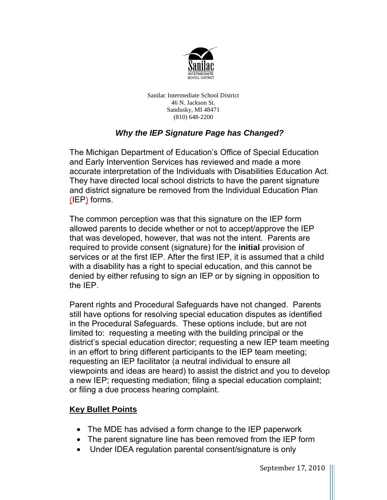

 46 N. Jackson St. Sandusky, MI 48471 Sanilac Intermediate School District (810) 648-2200

## *Why the IEP Signature Page has Changed?*

The Michigan Department of Education's Office of Special Education and Early Intervention Services has reviewed and made a more accurate interpretation of the Individuals with Disabilities Education Act. They have directed local school districts to have the parent signature and district signature be removed from the Individual Education Plan (IEP) forms.

 the IEP. The common perception was that this signature on the IEP form allowed parents to decide whether or not to accept/approve the IEP that was developed, however, that was not the intent. Parents are required to provide consent (signature) for the **initial** provision of services or at the first IEP. After the first IEP, it is assumed that a child with a disability has a right to special education, and this cannot be denied by either refusing to sign an IEP or by signing in opposition to

Parent rights and Procedural Safeguards have not changed. Parents still have options for resolving special education disputes as identified in the Procedural Safeguards. These options include, but are not limited to: requesting a meeting with the building principal or the district's special education director; requesting a new IEP team meeting in an effort to bring different participants to the IEP team meeting; requesting an IEP facilitator (a neutral individual to ensure all viewpoints and ideas are heard) to assist the district and you to develop a new IEP; requesting mediation; filing a special education complaint; or filing a due process hearing complaint.

## **Key Bullet Points**

- The MDE has advised a form change to the IEP paperwork
- The parent signature line has been removed from the IEP form
- Under IDEA regulation parental consent/signature is only